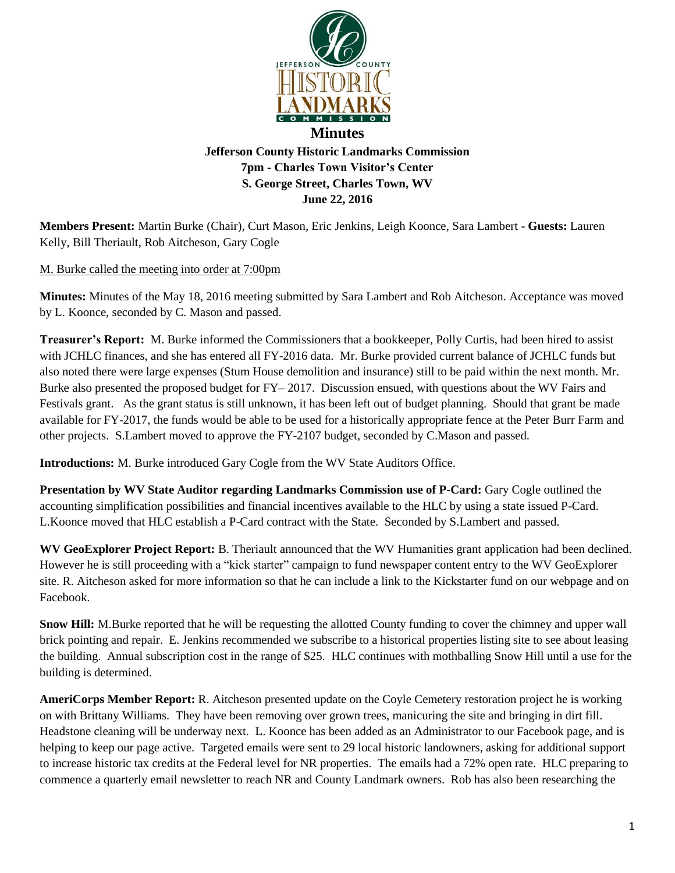

**Members Present:** Martin Burke (Chair), Curt Mason, Eric Jenkins, Leigh Koonce, Sara Lambert - **Guests:** Lauren Kelly, Bill Theriault, Rob Aitcheson, Gary Cogle

M. Burke called the meeting into order at 7:00pm

**Minutes:** Minutes of the May 18, 2016 meeting submitted by Sara Lambert and Rob Aitcheson. Acceptance was moved by L. Koonce, seconded by C. Mason and passed.

**June 22, 2016**

**Treasurer's Report:** M. Burke informed the Commissioners that a bookkeeper, Polly Curtis, had been hired to assist with JCHLC finances, and she has entered all FY-2016 data. Mr. Burke provided current balance of JCHLC funds but also noted there were large expenses (Stum House demolition and insurance) still to be paid within the next month. Mr. Burke also presented the proposed budget for FY– 2017. Discussion ensued, with questions about the WV Fairs and Festivals grant. As the grant status is still unknown, it has been left out of budget planning. Should that grant be made available for FY-2017, the funds would be able to be used for a historically appropriate fence at the Peter Burr Farm and other projects. S.Lambert moved to approve the FY-2107 budget, seconded by C.Mason and passed.

**Introductions:** M. Burke introduced Gary Cogle from the WV State Auditors Office.

**Presentation by WV State Auditor regarding Landmarks Commission use of P-Card:** Gary Cogle outlined the accounting simplification possibilities and financial incentives available to the HLC by using a state issued P-Card. L.Koonce moved that HLC establish a P-Card contract with the State. Seconded by S.Lambert and passed.

**WV GeoExplorer Project Report:** B. Theriault announced that the WV Humanities grant application had been declined. However he is still proceeding with a "kick starter" campaign to fund newspaper content entry to the WV GeoExplorer site. R. Aitcheson asked for more information so that he can include a link to the Kickstarter fund on our webpage and on Facebook.

**Snow Hill:** M.Burke reported that he will be requesting the allotted County funding to cover the chimney and upper wall brick pointing and repair. E. Jenkins recommended we subscribe to a historical properties listing site to see about leasing the building. Annual subscription cost in the range of \$25. HLC continues with mothballing Snow Hill until a use for the building is determined.

**AmeriCorps Member Report:** R. Aitcheson presented update on the Coyle Cemetery restoration project he is working on with Brittany Williams. They have been removing over grown trees, manicuring the site and bringing in dirt fill. Headstone cleaning will be underway next. L. Koonce has been added as an Administrator to our Facebook page, and is helping to keep our page active. Targeted emails were sent to 29 local historic landowners, asking for additional support to increase historic tax credits at the Federal level for NR properties. The emails had a 72% open rate. HLC preparing to commence a quarterly email newsletter to reach NR and County Landmark owners. Rob has also been researching the